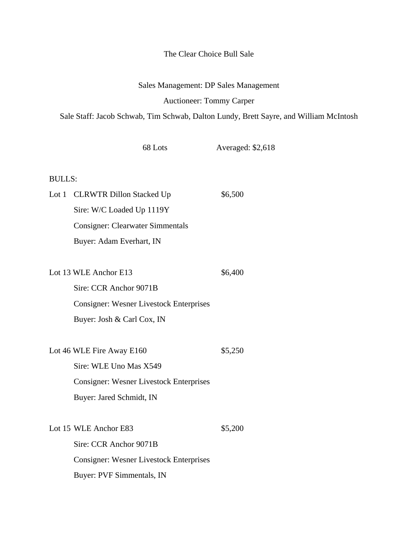## The Clear Choice Bull Sale

## Sales Management: DP Sales Management

## Auctioneer: Tommy Carper

Sale Staff: Jacob Schwab, Tim Schwab, Dalton Lundy, Brett Sayre, and William McIntosh

|               | 68 Lots                                        | Averaged: \$2,618 |
|---------------|------------------------------------------------|-------------------|
| <b>BULLS:</b> |                                                |                   |
|               | Lot 1 CLRWTR Dillon Stacked Up                 | \$6,500           |
|               | Sire: W/C Loaded Up 1119Y                      |                   |
|               | <b>Consigner: Clearwater Simmentals</b>        |                   |
|               | Buyer: Adam Everhart, IN                       |                   |
|               |                                                |                   |
|               | Lot 13 WLE Anchor E13                          | \$6,400           |
|               | Sire: CCR Anchor 9071B                         |                   |
|               | <b>Consigner: Wesner Livestock Enterprises</b> |                   |
|               | Buyer: Josh & Carl Cox, IN                     |                   |
|               | Lot 46 WLE Fire Away E160                      | \$5,250           |
|               | Sire: WLE Uno Mas X549                         |                   |
|               | <b>Consigner: Wesner Livestock Enterprises</b> |                   |
|               | Buyer: Jared Schmidt, IN                       |                   |
|               |                                                |                   |
|               | Lot 15 WLE Anchor E83                          | \$5,200           |
|               | Sire: CCR Anchor 9071B                         |                   |
|               | <b>Consigner: Wesner Livestock Enterprises</b> |                   |
|               | Buyer: PVF Simmentals, IN                      |                   |